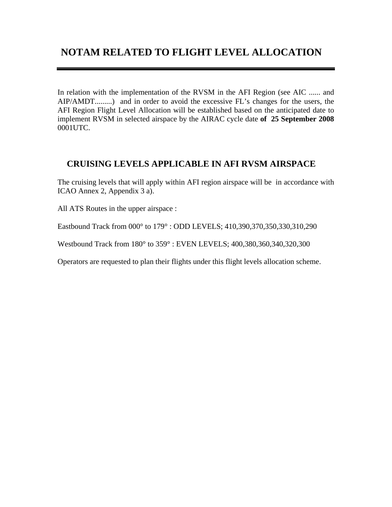## **NOTAM RELATED TO FLIGHT LEVEL ALLOCATION**

In relation with the implementation of the RVSM in the AFI Region (see AIC ...... and AIP/AMDT.........) and in order to avoid the excessive FL's changes for the users, the AFI Region Flight Level Allocation will be established based on the anticipated date to implement RVSM in selected airspace by the AIRAC cycle date **of 25 September 2008** 0001UTC.

## **CRUISING LEVELS APPLICABLE IN AFI RVSM AIRSPACE**

The cruising levels that will apply within AFI region airspace will be in accordance with ICAO Annex 2, Appendix 3 a).

All ATS Routes in the upper airspace :

Eastbound Track from 000° to 179° : ODD LEVELS; 410,390,370,350,330,310,290

Westbound Track from 180° to 359° : EVEN LEVELS; 400,380,360,340,320,300

Operators are requested to plan their flights under this flight levels allocation scheme.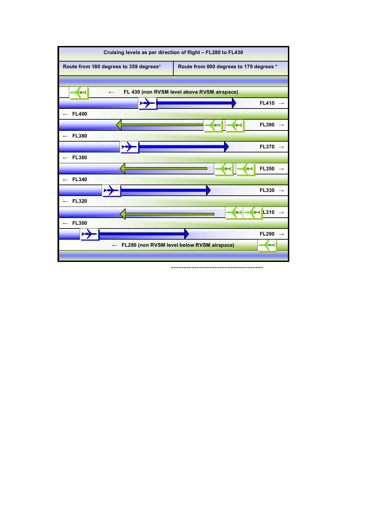

<sup>------------------------------------</sup>